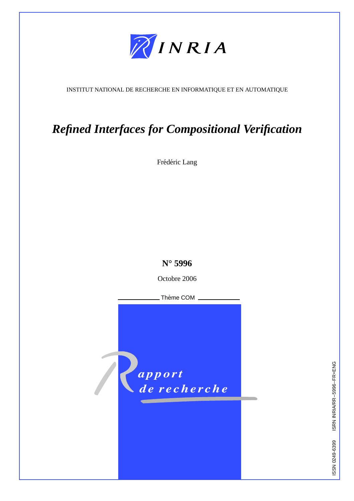

INSTITUT NATIONAL DE RECHERCHE EN INFORMATIQUE ET EN AUTOMATIQUE

# *Refined Interfaces for Compositional Verification*

Frédéric Lang

# **N° 5996**

Octobre 2006

Thème COM



ISSN 0249-6399 ISRN INRIA/RR--5996--FR+ENG ISSN 0249-6399 ISRN INRIA/RR--5996--FR+ENG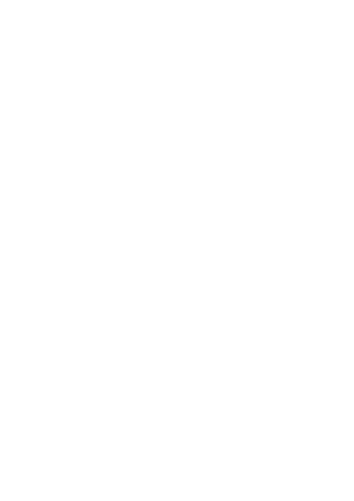$\label{eq:2.1} \mathcal{L}(\mathcal{L}^{\text{max}}_{\mathcal{L}}(\mathcal{L}^{\text{max}}_{\mathcal{L}}),\mathcal{L}^{\text{max}}_{\mathcal{L}}(\mathcal{L}^{\text{max}}_{\mathcal{L}}))$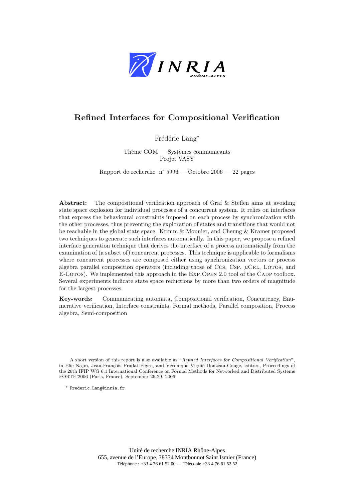

# Refined Interfaces for Compositional Verification

#### Frédéric Lang<sup>∗</sup>

Thème  $COM -$  Systèmes communicants Projet VASY

Rapport de recherche  $n^*$  5996 — Octobre 2006 — 22 pages

Abstract: The compositional verification approach of Graf & Steffen aims at avoiding state space explosion for individual processes of a concurrent system. It relies on interfaces that express the behavioural constraints imposed on each process by synchronization with the other processes, thus preventing the exploration of states and transitions that would not be reachable in the global state space. Krimm & Mounier, and Cheung & Kramer proposed two techniques to generate such interfaces automatically. In this paper, we propose a refined interface generation technique that derives the interface of a process automatically from the examination of (a subset of) concurrent processes. This technique is applicable to formalisms where concurrent processes are composed either using synchronization vectors or process algebra parallel composition operators (including those of Ccs, Csp,  $\mu$ CRL, LOTOS, and E-Lotos). We implemented this approach in the Exp.Open 2.0 tool of the Cadp toolbox. Several experiments indicate state space reductions by more than two orders of magnitude for the largest processes.

Key-words: Communicating automata, Compositional verification, Concurrency, Enumerative verification, Interface constraints, Formal methods, Parallel composition, Process algebra, Semi-composition

A short version of this report is also available as "Refined Interfaces for Compositional Verification", in Elie Najm, Jean-François Pradat-Peyre, and Véronique Viguié Donzeau-Gouge, editors, Proceedings of the 26th IFIP WG 6.1 International Conference on Formal Methods for Networked and Distributed Systems FORTE'2006 (Paris, France), September 26-29, 2006.

<sup>∗</sup> Frederic.Lang@inria.fr

Unité de recherche INRIA Rhône-Alpes 655, avenue de l'Europe, 38334 Montbonnot Saint Ismier (France) Téléphone : +33 4 76 61 52 00 — Télécopie +33 4 76 61 52 52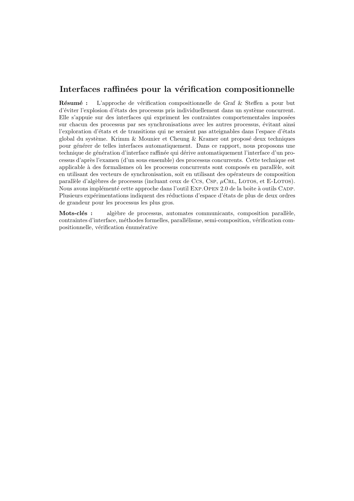# Interfaces raffinées pour la vérification compositionnelle

**R**ésumé : L'approche de vérification compositionnelle de Graf & Steffen a pour but d'éviter l'explosion d'états des processus pris individuellement dans un système concurrent. Elle s'appuie sur des interfaces qui expriment les contraintes comportementales imposées sur chacun des processus par ses synchronisations avec les autres processus, évitant ainsi l'exploration d'états et de transitions qui ne seraient pas atteignables dans l'espace d'états global du système. Krimm  $\&$  Mounier et Cheung  $\&$  Kramer ont proposé deux techniques pour g´en´erer de telles interfaces automatiquement. Dans ce rapport, nous proposons une technique de génération d'interface raffinée qui dérive automatiquement l'interface d'un processus d'apr`es l'examen (d'un sous ensemble) des processus concurrents. Cette technique est applicable à des formalismes où les processus concurrents sont composés en parallèle, soit en utilisant des vecteurs de synchronisation, soit en utilisant des opérateurs de composition parallèle d'algèbres de processus (incluant ceux de Ccs, Csp,  $\mu$ CRL, LOTOS, et E-LOTOS). Nous avons implémenté cette approche dans l'outil EXP. OPEN 2.0 de la boîte à outils CADP. Plusieurs expérimentations indiquent des réductions d'espace d'états de plus de deux ordres de grandeur pour les processus les plus gros.

Mots-clés : algèbre de processus, automates communicants, composition parallèle, contraintes d'interface, méthodes formelles, parallélisme, semi-composition, vérification compositionnelle, vérification énumérative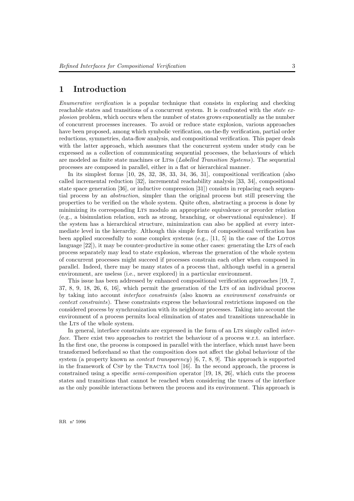# 1 Introduction

Enumerative verification is a popular technique that consists in exploring and checking reachable states and transitions of a concurrent system. It is confronted with the *state ex*plosion problem, which occurs when the number of states grows exponentially as the number of concurrent processes increases. To avoid or reduce state explosion, various approaches have been proposed, among which symbolic verification, on-the-fly verification, partial order reductions, symmetries, data-flow analysis, and compositional verification. This paper deals with the latter approach, which assumes that the concurrent system under study can be expressed as a collection of communicating sequential processes, the behaviours of which are modeled as finite state machines or LTSs (*Labelled Transition Systems*). The sequential processes are composed in parallel, either in a flat or hierarchical manner.

In its simplest forms [10, 28, 32, 38, 33, 34, 36, 31], compositional verification (also called incremental reduction [32], incremental reachability analysis [33, 34], compositional state space generation [36], or inductive compression [31]) consists in replacing each sequential process by an abstraction, simpler than the original process but still preserving the properties to be verified on the whole system. Quite often, abstracting a process is done by minimizing its corresponding Lts modulo an appropriate equivalence or preorder relation (e.g., a bisimulation relation, such as strong, branching, or observational equivalence). If the system has a hierarchical structure, minimization can also be applied at every intermediate level in the hierarchy. Although this simple form of compositional verification has been applied successfully to some complex systems (e.g.,  $[11, 5]$  in the case of the LOTOS language  $[22]$ , it may be counter-productive in some other cases: generating the LTs of each process separately may lead to state explosion, whereas the generation of the whole system of concurrent processes might succeed if processes constrain each other when composed in parallel. Indeed, there may be many states of a process that, although useful in a general environment, are useless (i.e., never explored) in a particular environment.

This issue has been addressed by enhanced compositional verification approaches [19, 7, 37, 8, 9, 18, 26, 6, 16, which permit the generation of the LTs of an individual process by taking into account interface constraints (also known as environment constraints or context constraints). These constraints express the behavioural restrictions imposed on the considered process by synchronization with its neighbour processes. Taking into account the environment of a process permits local elimination of states and transitions unreachable in the LTS of the whole system.

In general, interface constraints are expressed in the form of an LTS simply called *inter*face. There exist two approaches to restrict the behaviour of a process w.r.t. an interface. In the first one, the process is composed in parallel with the interface, which must have been transformed beforehand so that the composition does not affect the global behaviour of the system (a property known as *context transparency*) [6, 7, 8, 9]. This approach is supported in the framework of Csp by the TRACTA tool [16]. In the second approach, the process is constrained using a specific semi-composition operator [19, 18, 26], which cuts the process states and transitions that cannot be reached when considering the traces of the interface as the only possible interactions between the process and its environment. This approach is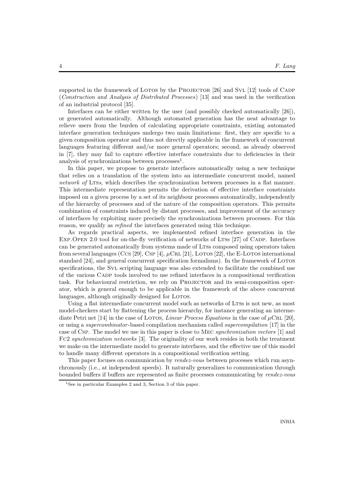supported in the framework of LOTOS by the PROJECTOR [26] and SVL [12] tools of CADP (Construction and Analysis of Distributed Processes) [13] and was used in the verification of an industrial protocol [35].

Interfaces can be either written by the user (and possibly checked automatically [26]), or generated automatically. Although automated generation has the neat advantage to relieve users from the burden of calculating appropriate constraints, existing automated interface generation techniques undergo two main limitations: first, they are specific to a given composition operator and thus not directly applicable in the framework of concurrent languages featuring different and/or more general operators; second, as already observed in [7], they may fail to capture effective interface constraints due to deficiencies in their analysis of synchronizations between  $processes<sup>1</sup>$ .

In this paper, we propose to generate interfaces automatically using a new technique that relies on a translation of the system into an intermediate concurrent model, named network of LTSs, which describes the synchronization between processes in a flat manner. This intermediate representation permits the derivation of effective interface constraints imposed on a given process by a set of its neighbour processes automatically, independently of the hierarchy of processes and of the nature of the composition operators. This permits combination of constraints induced by distant processes, and improvement of the accuracy of interfaces by exploiting more precisely the synchronizations between processes. For this reason, we qualify as refined the interfaces generated using this technique.

As regards practical aspects, we implemented refined interface generation in the EXP.OPEN 2.0 tool for on-the-fly verification of networks of LTSs [27] of CADP. Interfaces can be generated automatically from systems made of LTSs composed using operators taken from several languages (Ccs [29], Csp [4],  $\mu$ CRL [21], Loros [22], the E-Loros international standard [24], and general concurrent specification formalisms). In the framework of LOTOS specifications, the SvL scripting language was also extended to facilitate the combined use of the various Cadp tools involved to use refined interfaces in a compositional verification task. For behavioural restriction, we rely on PROJECTOR and its semi-composition operator, which is general enough to be applicable in the framework of the above concurrent languages, although originally designed for LOTOS.

Using a flat intermediate concurrent model such as networks of LTSs is not new, as most model-checkers start by flattening the process hierarchy, for instance generating an intermediate Petri net [14] in the case of LOTOS, Linear Process Equations in the case of  $\mu$ CRL [20], or using a supercombinator -based compilation mechanism called supercompilation [17] in the case of Csp. The model we use in this paper is close to Mec synchronization vectors [1] and Fc2 synchronization networks [3]. The originality of our work resides in both the treatment we make on the intermediate model to generate interfaces, and the effective use of this model to handle many different operators in a compositional verification setting.

This paper focuses on communication by rendez-vous between processes which run asynchronously (i.e., at independent speeds). It naturally generalizes to communication through bounded buffers if buffers are represented as finite processes communicating by rendez-vous

<sup>&</sup>lt;sup>1</sup>See in particular Examples 2 and 3, Section 3 of this paper.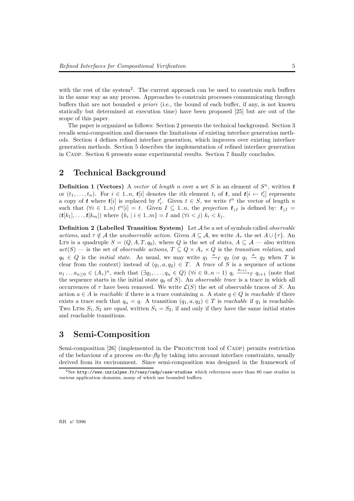with the rest of the system<sup>2</sup>. The current approach can be used to constrain such buffers in the same way as any process. Approaches to constrain processes communicating through buffers that are not bounded a priori (i.e., the bound of each buffer, if any, is not known statically but determined at execution time) have been proposed [25] but are out of the scope of this paper.

The paper is organized as follows: Section 2 presents the technical background. Section 3 recalls semi-composition and discusses the limitations of existing interface generation methods. Section 4 defines refined interface generation, which improves over existing interface generation methods. Section 5 describes the implementation of refined interface generation in Cadp. Section 6 presents some experimental results. Section 7 finally concludes.

#### 2 Technical Background

**Definition 1 (Vectors)** A vector of length n over a set S is an element of  $S<sup>n</sup>$ , written t or  $(t_1,...,t_n)$ . For  $i \in 1..n$ ,  $t[i]$  denotes the *i*th element  $t_i$  of  $t$ , and  $t[i \leftarrow t'_i]$  represents a copy of **t** where  $t[i]$  is replaced by  $t'_{i}$ . Given  $t \in S$ , we write  $t^{n}$  the vector of length n such that  $(\forall i \in 1..n)$   $t^n[i] = t$ . Given  $I \subseteq 1..n$ , the projection  $t_{\downarrow}I$  is defined by:  $t_{\downarrow}I =$  $(\mathbf{t}[k_1], \ldots, \mathbf{t}[k_m])$  where  $\{k_i \mid i \in 1..m\} = I$  and  $(\forall i < j)$   $k_i < k_j$ .

**Definition 2 (Labelled Transition System)** Let  $A$  be a set of symbols called *observable* actions, and  $\tau \notin A$  the unobservable action. Given  $A \subseteq A$ , we write  $A_{\tau}$  the set  $A \cup {\tau}$ . An LTS is a quadruple  $S = (Q, A, T, q_0)$ , where Q is the set of states,  $A \subseteq \mathcal{A}$  — also written  $act(S)$  — is the set of *observable actions*,  $T \subseteq Q \times A_{\tau} \times Q$  is the *transition relation*, and  $q_0 \in Q$  is the *initial state*. As usual, we may write  $q_1 \stackrel{a}{\rightarrow} q_2$  (or  $q_1 \stackrel{a}{\rightarrow} q_2$  when T is clear from the context) instead of  $(q_1, a, q_2) \in T$ . A trace of S is a sequence of actions  $a_1 \ldots a_{n \geq 0} \in (A_\tau)^n$ , such that  $(\exists q_1, \ldots, q_n \in Q)$   $(\forall i \in 0..n-1)$   $q_i \xrightarrow{a_{i+1}} q_{i+1}$  (note that the sequence starts in the initial state  $q_0$  of S). An *observable trace* is a trace in which all occurrences of  $\tau$  have been removed. We write  $\mathcal{L}(S)$  the set of observable traces of S. An action  $a \in A$  is reachable if there is a trace containing a. A state  $q \in Q$  is reachable if there exists a trace such that  $q_n = q$ . A transition  $(q_1, a, q_2) \in T$  is *reachable* if  $q_1$  is reachable. Two LTss  $S_1, S_2$  are *equal*, written  $S_1 = S_2$ , if and only if they have the same initial states and reachable transitions.

#### 3 Semi-Composition

Semi-composition [26] (implemented in the PROJECTOR tool of CADP) permits restriction of the behaviour of a process on-the-fly by taking into account interface constraints, usually derived from its environment. Since semi-composition was designed in the framework of

 ${}^{2}$ See http://www.inrialpes.fr/vasy/cadp/case-studies which references more than 80 case studies in various application domains, many of which use bounded buffers.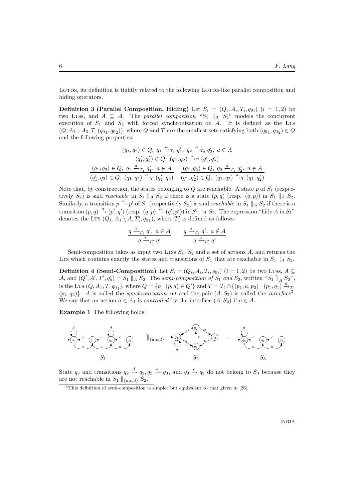LOTOS, its definition is tightly related to the following LOTOS-like parallel composition and hiding operators.

**Definition 3 (Parallel Composition, Hiding)** Let  $S_i = (Q_i, A_i, T_i, q_{0i})$   $(i = 1, 2)$  be two LTSs, and  $A \subseteq \mathcal{A}$ . The parallel composition " $S_1 \parallel_A S_2$ " models the concurrent execution of  $S_1$  and  $S_2$  with forced synchronization on A. It is defined as the LTS  $(Q, A_1 \cup A_2, T, (q_{01}, q_{02}))$ , where Q and T are the smallest sets satisfying both  $(q_{01}, q_{02}) \in Q$ and the following properties:

$$
\frac{(q_1, q_2) \in Q, q_1 \xrightarrow{\alpha} T_1 q'_1, q_2 \xrightarrow{\alpha} T_2 q'_2, a \in A}{(q'_1, q'_2) \in Q, (q_1, q_2) \xrightarrow{\alpha} T (q'_1, q'_2)}
$$

$$
\frac{(q_1, q_2) \in Q, q_1 \xrightarrow{\alpha} T_1 q'_1, a \notin A}{(q'_1, q_2) \in Q, (q_1, q_2) \xrightarrow{\alpha} T (q'_1, q_2)} \frac{(q_1, q_2) \in Q, q_2 \xrightarrow{\alpha} T_1 q'_2, a \notin A}{(q_1, q_2) \xrightarrow{\alpha} T (q_1, q'_2)}
$$

Note that, by construction, the states belonging to  $Q$  are reachable. A state  $p$  of  $S_1$  (respectively  $S_2$ ) is said *reachable* in  $S_1 \parallel_A S_2$  if there is a state  $(p, q)$  (resp.  $(q, p)$ ) in  $S_1 \parallel_A S_2$ . Similarly, a transition  $p \stackrel{a}{\rightarrow} p'$  of  $S_1$  (respectively  $S_2$ ) is said *reachable* in  $S_1 \parallel_A S_2$  if there is a transition  $(p, q) \stackrel{a}{\rightarrow} (p', q')$  (resp.  $(q, p) \stackrel{a}{\rightarrow} (q', p')$ ) in  $S_1 \parallel_A S_2$ . The expression "hide A in  $S_1$ " denotes the LTS  $(Q_1, A_1 \setminus A, T'_1, q_{01})$ , where  $T'_1$  is defined as follows:

$$
\frac{q\xrightarrow{a}T_1 q',\ a\in A}{q\xrightarrow{\tau}T'_1 q'}\qquad \frac{q\xrightarrow{a}T_1 q',\ a\notin A}{q\xrightarrow{a}T'_1 q'}
$$

Semi-composition takes as input two LTSs  $S_1$ ,  $S_2$  and a set of actions A, and returns the LTS which contains exactly the states and transitions of  $S_1$  that are reachable in  $S_1 \parallel_A S_2$ .

**Definition 4 (Semi-Composition)** Let  $S_i = (Q_i, A_i, T_i, q_{0i})$   $(i = 1, 2)$  be two LTSs,  $A \subseteq$  $\mathcal{A}$ , and  $(Q', A', T', q'_0) = S_1 \parallel_A S_2$ . The semi-composition of  $S_1$  and  $S_2$ , written " $S_1 \parallel_A S_2$ ", is the LTS  $(Q, A_1, T, q_{01})$ , where  $Q = \{p \mid (p, q) \in Q'\}$  and  $T = T_1 \cap \{(p_1, a, p_2) \mid (p_1, q_1) \stackrel{a}{\rightarrow} T'$  $(p_2, q_2)$ . A is called the *synchronization set* and the pair  $(A, S_2)$  is called the *interface*<sup>3</sup>. We say that an action  $a \in A_1$  is *controlled* by the interface  $(A, S_2)$  if  $a \in A$ .

Example 1 The following holds:



State  $q_3$  and transitions  $q_2 \stackrel{d}{\rightarrow} q_2, q_2 \stackrel{a}{\rightarrow} q_3$ , and  $q_3 \stackrel{c}{\rightarrow} q_2$  do not belong to  $S_3$  because they are not reachable in  $S_1 \parallel \{a,c,d\} S_2$ .

<sup>3</sup>This definition of semi-composition is simpler but equivalent to that given in [26].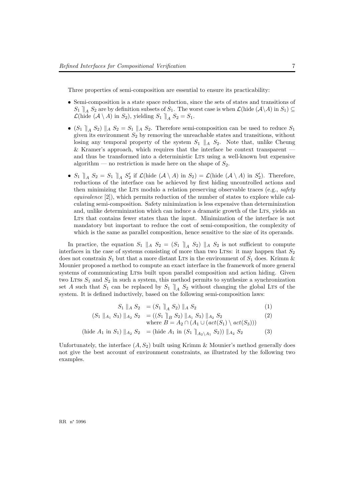Three properties of semi-composition are essential to ensure its practicability:

- Semi-composition is a state space reduction, since the sets of states and transitions of  $S_1 \parallel_A S_2$  are by definition subsets of  $S_1$ . The worst case is when  $\mathcal{L}(\text{hide }(\mathcal{A}\backslash A)$  in  $S_1) \subseteq$  $\mathcal{L}(\text{hide } (\mathcal{A} \setminus A) \text{ in } S_2),$  yielding  $S_1 \parallel_A S_2 = S_1.$
- $(S_1 \rVert_A S_2)$   $\lVert_A S_2 = S_1 \rVert_A S_2$ . Therefore semi-composition can be used to reduce  $S_1$ given its environment  $S_2$  by removing the unreachable states and transitions, without losing any temporal property of the system  $S_1 \parallel_A S_2$ . Note that, unlike Cheung  $\&$  Kramer's approach, which requires that the interface be context transparent  $$ and thus be transformed into a deterministic LTS using a well-known but expensive algorithm — no restriction is made here on the shape of  $S_2$ .
- $S_1 \parallel_A S_2 = S_1 \parallel_A S'_2$  if  $\mathcal{L}(\text{hide }(\mathcal{A} \setminus A) \text{ in } S_2) = \mathcal{L}(\text{hide }(\mathcal{A} \setminus A) \text{ in } S'_2)$ . Therefore, reductions of the interface can be achieved by first hiding uncontrolled actions and then minimizing the LTS modulo a relation preserving observable traces (e.g.,  $safety$ ) equivalence [2]), which permits reduction of the number of states to explore while calculating semi-composition. Safety minimization is less expensive than determinization and, unlike determinization which can induce a dramatic growth of the LTS, yields an LTS that contains fewer states than the input. Minimization of the interface is not mandatory but important to reduce the cost of semi-composition, the complexity of which is the same as parallel composition, hence sensitive to the size of its operands.

In practice, the equation  $S_1 \parallel_A S_2 = (S_1 \parallel_A S_2) \parallel_A S_2$  is not sufficient to compute interfaces in the case of systems consisting of more than two LTSs: it may happen that  $S_2$ does not constrain  $S_1$  but that a more distant LTs in the environment of  $S_1$  does. Krimm & Mounier proposed a method to compute an exact interface in the framework of more general systems of communicating LTSs built upon parallel composition and action hiding. Given two LTss  $S_1$  and  $S_2$  in such a system, this method permits to synthesize a synchronization set A such that  $S_1$  can be replaced by  $S_1 \parallel_A S_2$  without changing the global LTs of the system. It is defined inductively, based on the following semi-composition laws:

$$
S_1 \|_{A} S_2 = (S_1 \|_{A} S_2) \|_{A} S_2
$$
  
(S<sub>1</sub> \|\_{A\_1} S\_3) \|\_{A\_2} S\_2 = ((S\_1 \|\_{B} S\_2) \|\_{A\_1} S\_3) \|\_{A\_2} S\_2 (2)

$$
(31 \parallel A_1 \quad 33) \parallel A_2 \quad 32 = ((31 \parallel B \quad 32) \parallel A_1 \quad 33) \parallel A_2 \quad 32
$$
  
where  $B = A_2 \cap (A_1 \cup (act(S_1) \setminus act(S_3)))$  (2)

(hide 
$$
A_1
$$
 in  $S_1$ )  $||_{A_2} S_2 = ($ hide  $A_1$  in  $(S_1 ||_{A_2 \setminus A_1} S_2)$ )  $||_{A_2} S_2$  (3)

Unfortunately, the interface  $(A, S_2)$  built using Krimm & Mounier's method generally does not give the best account of environment constraints, as illustrated by the following two examples.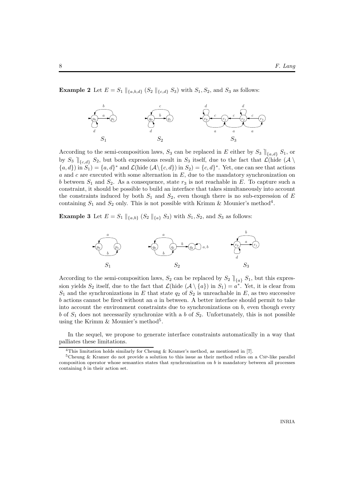**Example 2** Let  $E = S_1 ||_{\{a,b,d\}} (S_2 ||_{\{c,d\}} S_3)$  with  $S_1, S_2$ , and  $S_3$  as follows:



According to the semi-composition laws,  $S_3$  can be replaced in E either by  $S_3 \parallel_{\{a,d\}} S_1$ , or by  $S_3 \parallel_{\{c,d\}} S_2$ , but both expressions result in  $S_3$  itself, due to the fact that  $\mathcal{L}(\text{hide } (\mathcal{A} \setminus$  ${a, d}$ ) in  $S_1$  =  ${a, d}^*$  and  $\mathcal{L}$ (hide  $(\mathcal{A}\setminus{c, d})$  in  $S_2$ ) =  ${c, d}^*$ . Yet, one can see that actions  $a$  and c are executed with some alternation in  $E$ , due to the mandatory synchronization on b between  $S_1$  and  $S_2$ . As a consequence, state  $r_3$  is not reachable in E. To capture such a constraint, it should be possible to build an interface that takes simultaneously into account the constraints induced by both  $S_1$  and  $S_2$ , even though there is no sub-expression of E containing  $S_1$  and  $S_2$  only. This is not possible with Krimm & Mounier's method<sup>4</sup>.

**Example 3** Let  $E = S_1 ||_{\{a,b\}} (S_2 ||_{\{a\}} S_3)$  with  $S_1, S_2$ , and  $S_3$  as follows:



According to the semi-composition laws,  $S_2$  can be replaced by  $S_2 \parallel_{\{a\}} S_1$ , but this expression yields  $S_2$  itself, due to the fact that  $\mathcal{L}(\text{hide } (\mathcal{A} \setminus \{a\})$  in  $S_1) = a^*$ . Yet, it is clear from  $S_1$  and the synchronizations in E that state  $q_2$  of  $S_2$  is unreachable in E, as two successive  $b$  actions cannot be fired without an  $a$  in between. A better interface should permit to take into account the environment constraints due to synchronizations on  $b$ , even though every b of  $S_1$  does not necessarily synchronize with a b of  $S_2$ . Unfortunately, this is not possible using the Krimm & Mounier's method<sup>5</sup>.

In the sequel, we propose to generate interface constraints automatically in a way that palliates these limitations.

<sup>4</sup>This limitation holds similarly for Cheung & Kramer's method, as mentioned in [7].

<sup>5</sup>Cheung & Kramer do not provide a solution to this issue as their method relies on a Csp-like parallel composition operator whose semantics states that synchronization on b is mandatory between all processes containing b in their action set.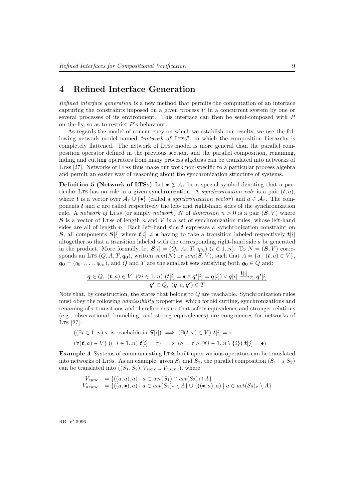## 4 Refined Interface Generation

Refined interface generation is a new method that permits the computation of an interface capturing the constraints imposed on a given process  $P$  in a concurrent system by one or several processes of its environment. This interface can then be semi-composed with P on-the-fly, so as to restrict  $P$ 's behaviour.

As regards the model of concurrency on which we establish our results, we use the following network model named "network of LTSs", in which the composition hierarchy is completely flattened. The network of LTSs model is more general than the parallel composition operator defined in the previous section, and the parallel composition, renaming, hiding and cutting operators from many process algebras can be translated into networks of LTSS [27]. Networks of LTSs thus make our work non-specific to a particular process algebra and permit an easier way of reasoning about the synchronization structure of systems.

**Definition 5 (Network of LTSs)** Let  $\bullet \notin \mathcal{A}_{\tau}$  be a special symbol denoting that a particular LTs has no role in a given synchronization. A synchronization rule is a pair  $(t, a)$ , where t is a vector over  $\mathcal{A}_{\tau} \cup \{\bullet\}$  (called a synchronization vector) and  $a \in \mathcal{A}_{\tau}$ . The components  $t$  and  $a$  are called respectively the left- and right-hand sides of the synchronization rule. A network of LTSs (or simply network) N of dimension  $n > 0$  is a pair  $(S, V)$  where  $S$  is a vector of LTSs of length n and V is a set of synchronization rules, whose left-hand sides are all of length n. Each left-hand side  $t$  expresses a synchronization constraint on S, all components  $S[i]$  where  $t[i] \neq \bullet$  having to take a transition labeled respectively  $t[i]$ altogether so that a transition labeled with the corresponding right-hand side a be generated in the product. More formally, let  $S[i] = (Q_i, A_i, T_i, q_{0i})$   $(i \in 1..n)$ . To  $N = (S, V)$  corresponds an LTs  $(Q, A, T, q_0)$ , written  $sem(N)$  or  $sem(S, V)$ , such that  $A = \{a \mid (t, a) \in V\},$  $q_0 = (q_{01}, \ldots, q_{0n})$ , and Q and T are the smallest sets satisfying both  $q_0 \in Q$  and:

$$
\underline{\boldsymbol{q}\in Q, \; (t,a)\in V, \; (\forall i\in 1..n) \; (t[i]=\bullet \wedge \boldsymbol{q}^\prime[i]=\boldsymbol{q}[i])\vee \boldsymbol{q}[i] \; \stackrel{\boldsymbol{t}[i]}{\longrightarrow} T_i \; \boldsymbol{q}^\prime[i]}{\boldsymbol{q}^\prime\in Q, \; (\boldsymbol{q},a,\boldsymbol{q}^\prime)\in T}
$$

Note that, by construction, the states that belong to  $Q$  are reachable. Synchronization rules must obey the following *admissibility* properties, which forbid cutting, synchronizations and renaming of  $\tau$  transitions and therefore ensure that safety equivalence and stronger relations (e.g., observational, branching, and strong equivalences) are congruences for networks of LTS  $[27]$ :

$$
((\exists i \in 1..n) \ \tau \text{ is reachable in } \mathbf{S}[i]) \implies (\exists (\mathbf{t}, \tau) \in V) \ \mathbf{t}[i] = \tau
$$
\n
$$
(\forall (\mathbf{t}, a) \in V) \ ((\exists i \in 1..n) \ \mathbf{t}[i] = \tau) \implies (a = \tau \land (\forall j \in 1..n \setminus \{i\}) \ \mathbf{t}[j] = \bullet)
$$

**Example 4** Systems of communicating LTSs built upon various operators can be translated into networks of LTss. As an example, given  $S_1$  and  $S_2$ , the parallel composition  $(S_1 \parallel_A S_2)$ can be translated into  $((S_1, S_2), V_{sync} \cup V_{async})$ , where:

$$
V_{sync} = \{ ((a, a), a) \mid a \in act(S_1) \cap act(S_2) \cap A \}
$$
  
\n
$$
V_{async} = \{ ((a, \bullet), a) \mid a \in act(S_1)_{\tau} \setminus A \} \cup \{ ((\bullet, a), a) \mid a \in act(S_2)_{\tau} \setminus A \}
$$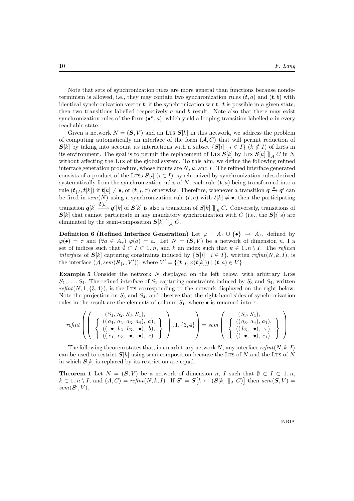Note that sets of synchronization rules are more general than functions because nondeterminism is allowed, i.e., they may contain two synchronization rules  $(t, a)$  and  $(t, b)$  with identical synchronization vector  $t$ ; if the synchronization w.r.t.  $t$  is possible in a given state, then two transitions labelled respectively  $a$  and  $b$  result. Note also that there may exist synchronization rules of the form  $(\bullet^n, a)$ , which yield a looping transition labelled a in every reachable state.

Given a network  $N = (\mathbf{S}, V)$  and an LTs  $\mathbf{S}[k]$  in this network, we address the problem of computing automatically an interface of the form  $(A, C)$  that will permit reduction of  $S[k]$  by taking into account its interactions with a subset  $\{S[i] | i \in I\}$   $(k \notin I)$  of LTSs in its environment. The goal is to permit the replacement of LTS  $S[k]$  by LTS  $S[k] \parallel_A C$  in N without affecting the LTS of the global system. To this aim, we define the following refined interface generation procedure, whose inputs are  $N, k$ , and I. The refined interface generated consists of a product of the LTss  $S[i]$  ( $i \in I$ ), synchronized by synchronization rules derived systematically from the synchronization rules of  $N$ , each rule  $(t, a)$  being transformed into a rule  $(t_{\downarrow I}, t[k])$  if  $t[k] \neq \bullet$ , or  $(t_{\downarrow I}, \tau)$  otherwise. Therefore, whenever a transition  $q \stackrel{a}{\rightarrow} q'$  can be fired in sem(N) using a synchronization rule  $(t, a)$  with  $t[k] \neq \bullet$ , then the participating transition  $q[k] \xrightarrow{t[k]} q'[k]$  of  $S[k]$  is also a transition of  $S[k] \parallel_A C$ . Conversely, transitions of  $S[k]$  that cannot participate in any mandatory synchronization with C (i.e., the  $S[i]$ 's) are eliminated by the semi-composition  $S[k]$   $\parallel$   $\parallel$  C.

**Definition 6 (Refined Interface Generation)** Let  $\varphi : A_{\tau} \cup \{ \bullet \} \to A_{\tau}$ , defined by  $\varphi(\bullet) = \tau$  and  $(\forall a \in A_{\tau})$   $\varphi(a) = a$ . Let  $N = (\mathcal{S}, V)$  be a network of dimension n, I a set of indices such that  $\emptyset \subset I \subset 1..n$ , and k an index such that  $k \in 1..n \setminus I$ . The refined *interface* of  $S[k]$  capturing constraints induced by  $\{S[i] | i \in I\}$ , written refint $(N, k, I)$ , is the interface  $(\mathcal{A}, sem(\mathbf{S}_{\downarrow I}, V'))$ , where  $V' = \{(\mathbf{t}_{\downarrow I}, \varphi(\mathbf{t}[k])) \mid (\mathbf{t}, a) \in V\}.$ 

Example 5 Consider the network  $N$  displayed on the left below, with arbitrary LTSs  $S_1, \ldots, S_4$ . The refined interface of  $S_1$  capturing constraints induced by  $S_3$  and  $S_4$ , written  $refint(N, 1, {3, 4})$ , is the LTS corresponding to the network displayed on the right below. Note the projection on  $S_3$  and  $S_4$ , and observe that the right-hand sides of synchronization rules in the result are the elements of column  $S_1$ , where  $\bullet$  is renamed into  $\tau$ .

$$
refint\left(\left\{\begin{array}{c}\n(S_1, S_2, S_3, S_4), \\
((a_1, a_2, a_3, a_4), a), \\
((\bullet, b_2, b_3, \bullet), b), \\
((c_1, c_2, \bullet, \bullet), c)\n\end{array}\right\}\right), 1, \{3, 4\}\right) = sem\left(\left\{\begin{array}{c}\n(S_3, S_4), \\
((a_3, a_4), a_1), \\
((b_3, \bullet), \tau), \\
((\bullet, \bullet), c_1)\n\end{array}\right\}\right)
$$

The following theorem states that, in an arbitrary network N, any interface refint $(N, k, I)$ can be used to restrict  $S[k]$  using semi-composition because the LTs of N and the LTs of N in which  $S[k]$  is replaced by its restriction are equal.

**Theorem 1** Let  $N = (\mathbf{S}, V)$  be a network of dimension n, I such that  $\emptyset \subset I \subset 1..n$ ,  $k \in 1..n \setminus I$ , and  $(A, C) = \text{refint}(N, k, I)$ . If  $S' = S[k \leftarrow (S[k] \parallel_A C)]$  then  $\text{sem}(S, V) =$  $sem(\mathbf{S}', V)$ .

INRIA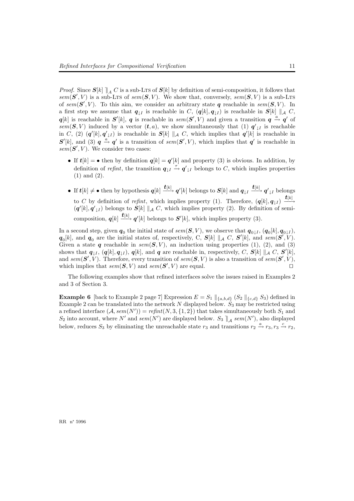*Proof.* Since  $S[k]$   $\parallel_A C$  is a sub-LTS of  $S[k]$  by definition of semi-composition, it follows that  $sem(\mathbf{S}', V)$  is a sub-LTS of  $sem(\mathbf{S}, V)$ . We show that, conversely,  $sem(\mathbf{S}, V)$  is a sub-LTS of sem( $S', V$ ). To this aim, we consider an arbitrary state q reachable in sem $(S, V)$ . In a first step we assume that  $q_{\downarrow I}$  is reachable in C,  $(q[k], q_{\downarrow I})$  is reachable in  $S[k] \|_{A} C$ ,  $q[k]$  is reachable in  $S'[k]$ , q is reachable in  $sem(S', V)$  and given a transition  $q \stackrel{a}{\rightarrow} q'$  of sem(S, V) induced by a vector  $(t, a)$ , we show simultaneously that (1)  $q'_{\perp}I$  is reachable in C, (2)  $(q'[k], q'_{\perp I})$  is reachable in  $S[k] \parallel_A C$ , which implies that  $q'[k]$  is reachable in  $S'[k]$ , and (3)  $q \stackrel{a}{\rightarrow} q'$  is a transition of sem $(S', V)$ , which implies that  $q'$  is reachable in  $sem(S', V)$ . We consider two cases:

- If  $t[k] = \bullet$  then by definition  $q[k] = q'[k]$  and property (3) is obvious. In addition, by definition of refint, the transition  $q_{\downarrow I} \stackrel{\tau}{\rightarrow} q'_{\downarrow I}$  belongs to C, which implies properties (1) and (2).
- If  $t[k] \neq \bullet$  then by hypothesis  $q[k] \xrightarrow{t[k]} q'[k]$  belongs to  $S[k]$  and  $q_{\downarrow I} \xrightarrow{t[k]} q'_{\downarrow I}$  belongs to C by definition of refint, which implies property (1). Therefore,  $(q[k], q_{\perp l}) \xrightarrow{\mathbf{t}[k]}$  $(q'[k], q'_{\perp I})$  belongs to  $S[k] \parallel_{\mathcal{A}} C$ , which implies property (2). By definition of semicomposition,  $q[k] \xrightarrow{\boldsymbol{t}[k]} q'[k]$  belongs to  $S'[k]$ , which implies property (3).

In a second step, given  $q_0$  the initial state of  $sem(S, V)$ , we observe that  $q_{0\downarrow I}$ ,  $(q_0[k], q_{0\downarrow I})$ ,  $q_0[k]$ , and  $q_0$  are the initial states of, respectively, C,  $S[k] \parallel_A C$ ,  $S'[k]$ , and  $sem(S', V)$ . Given a state q reachable in  $sem(S, V)$ , an induction using properties (1), (2), and (3) shows that  $q_{\downarrow I}$ ,  $(q[k], q_{\downarrow I})$ ,  $q[k]$ , and  $q$  are reachable in, respectively, C,  $S[k] \parallel_A C$ ,  $S'[k]$ , and sem( $S', V$ ). Therefore, every transition of sem( $S, V$ ) is also a transition of sem( $S', V$ ), which implies that  $sem(S, V)$  and  $sem(S', V)$  are equal.

The following examples show that refined interfaces solve the issues raised in Examples 2 and 3 of Section 3.

**Example 6** [back to Example 2 page 7] Expression  $E = S_1 ||_{\{a,b,d\}} (S_2 ||_{\{c,d\}} S_3)$  defined in Example 2 can be translated into the network  $N$  displayed below.  $S_3$  may be restricted using a refined interface  $(A, sem(N')) = refint(N, 3, {1, 2})$  that takes simultaneously both  $S_1$  and  $S_2$  into account, where N' and sem(N') are displayed below.  $S_3 \parallel_A sem(N')$ , also displayed below, reduces  $S_3$  by eliminating the unreachable state  $r_3$  and transitions  $r_2 \stackrel{a}{\rightarrow} r_3, r_3 \stackrel{c}{\rightarrow} r_2$ ,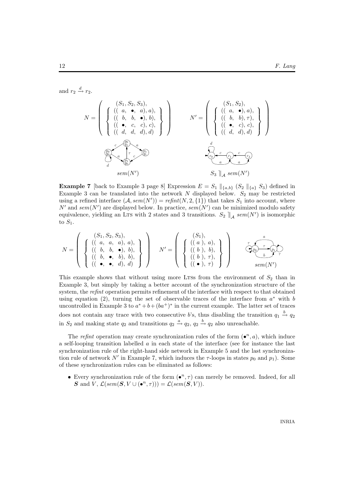and  $r_2 \xrightarrow{d} r_2$ .

$$
N = \left( \begin{array}{c} (S_1, S_2, S_3), \\ ((a, \bullet, a), a), \\ ((b, b, \bullet), b), \\ ((d, d, d), d) \end{array} \right) \qquad N' = \left( \begin{array}{c} (S_1, S_2), \\ ((a, \bullet), a), \\ ((a, \bullet), r), \\ ((b, b), \tau), \\ ((c, c), c), \\ ((d, d), d) \end{array} \right)
$$
  

$$
\sum_{d=0}^{c} \left( \begin{array}{c} \left( (a, \bullet), a \right), \\ ((a, \bullet), r), \\ ((a, d), d) \end{array} \right)
$$
  

$$
\sum_{d=0}^{c} \left( \begin{array}{c} \left( (a, \bullet), a \right), \\ ((a, d), d) \end{array} \right)
$$
  

$$
\sum_{d=0}^{c} \left( \begin{array}{c} \left( (a, \bullet), a \right), \\ ((a, d), d) \end{array} \right)
$$
  

$$
\sum_{d=0}^{c} \left( \begin{array}{c} \left( (a, \bullet), a \right), \\ ((a, d), d) \end{array} \right)
$$
  

$$
S_3 \parallel_A sem(N')
$$

**Example 7** [back to Example 3 page 8] Expression  $E = S_1 ||_{\{a,b\}} (S_2 ||_{\{a\}} S_3)$  defined in Example 3 can be translated into the network N displayed below.  $S_2$  may be restricted using a refined interface  $(A, sem(N')) = refint(N, 2, \{1\})$  that takes  $S_1$  into account, where N' and sem(N') are displayed below. In practice, sem(N') can be minimized modulo safety equivalence, yielding an LTs with 2 states and 3 transitions.  $S_2 \parallel_A sem(N')$  is isomorphic to  $S_1$ .

$$
N = \left(\begin{array}{c} (S_1,S_2,S_3),\\( (\begin{array}{cc} (a,~a,~a),~a),\\ (l,~b,~\bullet),~b),\\ ( (\begin{array}{cc} b,~\bullet,~b),~b),\\ ( (\begin{array}{cc} b,~\bullet,~d),~d)\end{array}\end{array})\end{array}\right) & N' = \left(\begin{array}{c} (S_1),\\( (\begin{array}{cc} (a),~a),\\ ( (\begin{array}{cc} b),~b),\\ ( (\begin{array}{cc} b),~\tau),\\ ( (\begin{array}{cc} b),~\tau),\\ ( (\begin{array}{cc} c,~\tau),\\ ( (\begin{array}{cc} c,~\tau),\\ ( (\begin{array}{cc} c,~\tau),\\ ( (\begin{array}{cc} c,~\tau),\\ ( (\begin{array}{cc} c,~\tau),\\ ( (\begin{array}{cc} c,~\tau),\\ ( (\begin{array}{cc} c,~\tau),\\ ( (\begin{array}{cc} c,~\tau),\\ ( (\begin{array}{cc} c,~\tau),\\ ( (\begin{array}{cc} c,~\tau),\\ ( (\begin{array}{cc} c,~\tau),\\ ( (\begin{array}{cc} c,~\tau),\\ ( (\begin{array}{cc} c,~\tau),\\ ( (\begin{array}{cc} c,~\tau),\\ ( (\begin{array}{cc} c,~\tau),\\ ( (\begin{array}{cc} c,~\tau),\\ ( (\begin{array}{cc} c,~\tau),\\ ( (\begin{array}{cc} c,~\tau),\\ ( (\begin{array}{cc} c,~\tau),\\ ( (\begin{array}{cc} c,~\tau),\\ ( (\begin{array}{cc} c,~\tau),\\ ( (\begin{array}{cc} c,~\tau),\\ ( (\begin{array}{cc} c,~\tau),\\ ( (\begin{array}{cc} c,~\tau),\\ ( (\begin{array}{cc} c,~\tau),\\ ( (\begin{array}{cc} c,~\tau),\\ ( (\begin{array}{cc} c,~\tau),\\ ( (\begin{array}{cc} c,~\tau),\\ ( (\begin{array}{cc} c,~\tau),\\ ( (\begin{array}{cc} c,~\tau),\\ ( (\begin{array}{cc} c,~\tau),\\ ( (\begin{array}{cc} c,~\tau),\\ ( (\begin{array}{cc} c,~\tau),\\ ( (\begin{array}{cc} c,~\tau),\\ ( (\begin{array}{cc} c,~\tau),\\ ( (\begin{array}{cc} c,~\tau),\\ ( (\begin{array}{cc} c,~\tau),\\ ( (\begin{array}{cc} c,~\
$$

This example shows that without using more LTSs from the environment of  $S_2$  than in Example 3, but simply by taking a better account of the synchronization structure of the system, the refint operation permits refinement of the interface with respect to that obtained using equation (2), turning the set of observable traces of the interface from  $a^*$  with b uncontrolled in Example 3 to  $a^* + b + (ba^+)^*$  in the current example. The latter set of traces does not contain any trace with two consecutive b's, thus disabling the transition  $q_1 \stackrel{b}{\rightarrow} q_2$ in  $S_2$  and making state  $q_2$  and transitions  $q_2 \stackrel{a}{\rightarrow} q_2$ ,  $q_2 \stackrel{b}{\rightarrow} q_2$  also unreachable.

The refint operation may create synchronization rules of the form  $(\bullet^n, a)$ , which induce a self-looping transition labelled  $\alpha$  in each state of the interface (see for instance the last synchronization rule of the right-hand side network in Example 5 and the last synchronization rule of network N' in Example 7, which induces the  $\tau$ -loops in states  $p_0$  and  $p_1$ ). Some of these synchronization rules can be eliminated as follows:

Every synchronization rule of the form  $(\bullet^n, \tau)$  can merely be removed. Indeed, for all S and V,  $\mathcal{L}(sem(S, V \cup (\bullet^n, \tau))) = \mathcal{L}(sem(S, V)).$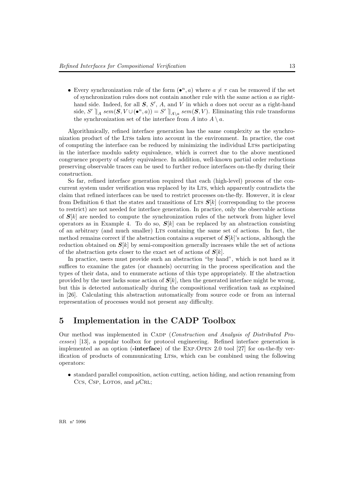Every synchronization rule of the form  $(\bullet^n, a)$  where  $a \neq \tau$  can be removed if the set of synchronization rules does not contain another rule with the same action  $a$  as righthand side. Indeed, for all  $S, S', A$ , and V in which a does not occur as a right-hand side,  $S' \parallel_A sem(S, V \cup (\bullet^n, a)) = S' \parallel_{A \setminus a} sem(S, V)$ . Eliminating this rule transforms the synchronization set of the interface from A into  $A \setminus a$ .

Algorithmically, refined interface generation has the same complexity as the synchronization product of the Ltss taken into account in the environment. In practice, the cost of computing the interface can be reduced by minimizing the individual Ltss participating in the interface modulo safety equivalence, which is correct due to the above mentioned congruence property of safety equivalence. In addition, well-known partial order reductions preserving observable traces can be used to further reduce interfaces on-the-fly during their construction.

So far, refined interface generation required that each (high-level) process of the concurrent system under verification was replaced by its LTS, which apparently contradicts the claim that refined interfaces can be used to restrict processes on-the-fly. However, it is clear from Definition 6 that the states and transitions of Lrs  $S[k]$  (corresponding to the process to restrict) are not needed for interface generation. In practice, only the observable actions of  $S[k]$  are needed to compute the synchronization rules of the network from higher level operators as in Example 4. To do so,  $S[k]$  can be replaced by an abstraction consisting of an arbitrary (and much smaller) Lts containing the same set of actions. In fact, the method remains correct if the abstraction contains a superset of  $S[k]$ 's actions, although the reduction obtained on  $S[k]$  by semi-composition generally increases while the set of actions of the abstraction gets closer to the exact set of actions of  $S[k]$ .

In practice, users must provide such an abstraction "by hand", which is not hard as it suffices to examine the gates (or channels) occurring in the process specification and the types of their data, and to enumerate actions of this type appropriately. If the abstraction provided by the user lacks some action of  $S[k]$ , then the generated interface might be wrong, but this is detected automatically during the compositional verification task as explained in [26]. Calculating this abstraction automatically from source code or from an internal representation of processes would not present any difficulty.

#### 5 Implementation in the CADP Toolbox

Our method was implemented in Cadp (Construction and Analysis of Distributed Processes) [13], a popular toolbox for protocol engineering. Refined interface generation is implemented as an option (-interface) of the Exp.Open 2.0 tool [27] for on-the-fly verification of products of communicating Ltss, which can be combined using the following operators:

 standard parallel composition, action cutting, action hiding, and action renaming from Ccs, Csp, Loros, and  $\mu$ CRL;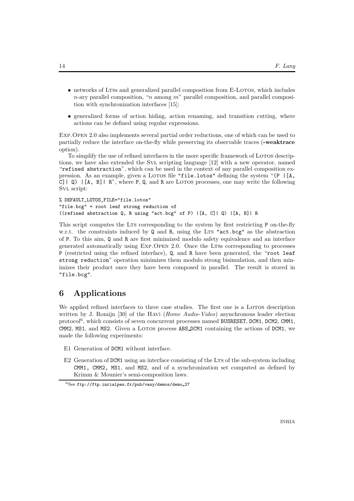- networks of Ltss and generalized parallel composition from E-Lotos, which includes n-ary parallel composition, "n among  $m$ " parallel composition, and parallel composition with synchronization interfaces [15];
- generalized forms of action hiding, action renaming, and transition cutting, where actions can be defined using regular expressions.

Exp.Open 2.0 also implements several partial order reductions, one of which can be used to partially reduce the interface on-the-fly while preserving its observable traces (-weaktrace option).

To simplify the use of refined interfaces in the more specific framework of LOTOS descriptions, we have also extended the SVL scripting language [12] with a new operator, named "refined abstraction", which can be used in the context of any parallel composition expression. As an example, given a LOTOS file "file.lotos" defining the system "(P | [A,  $\mathcal{C}$ |  $\mathcal{Q}$ ) | [A, B] | R", where P, Q, and R are LOTOS processes, one may write the following SvL script:

```
% DEFAULT_LOTOS_FILE="file.lotos"
"file.bcg" = root leaf strong reduction of
((refined abstraction Q, R using "act.bcg" of P) |[A, C] | Q) | [A, B] | R
```
This script computes the LTS corresponding to the system by first restricting P on-the-fly w.r.t. the constraints induced by  $\mathbf Q$  and R, using the LTS "act.bcg" as the abstraction of P. To this aim, Q and R are first minimized modulo safety equivalence and an interface generated automatically using EXP.OPEN 2.0. Once the LTSs corresponding to processes P (restricted using the refined interface), Q, and R have been generated, the "root leaf strong reduction" operation minimizes them modulo strong bisimulation, and then minimizes their product once they have been composed in parallel. The result is stored in "file.bcg".

#### 6 Applications

We applied refined interfaces to three case studies. The first one is a LOTOS description written by J. Romijn [30] of the Havi (*Home Audio-Video*) asynchronous leader election protocol<sup>6</sup>, which consists of seven concurrent processes named BUSRESET, DCM1, DCM2, CMM1, CMM2, MS1, and MS2. Given a LOTOS process ABS\_DCM1 containing the actions of DCM1, we made the following experiments:

- E1 Generation of DCM1 without interface.
- E2 Generation of DCM1 using an interface consisting of the LTS of the sub-system including CMM1, CMM2, MS1, and MS2, and of a synchronization set computed as defined by Krimm & Mounier's semi-composition laws.

 ${}^{6}$ See ftp://ftp.inrialpes.fr/pub/vasy/demos/demo\_27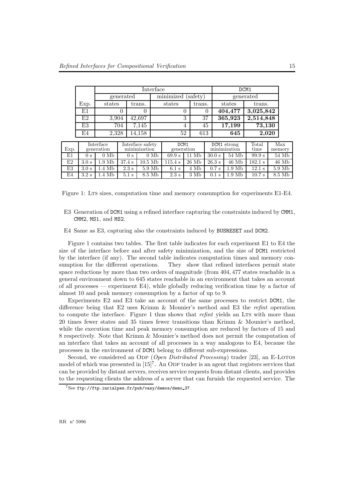|      | Interface               |                  |                |              |                      |    |                 |          | DCM1                        |                   |           |                  |
|------|-------------------------|------------------|----------------|--------------|----------------------|----|-----------------|----------|-----------------------------|-------------------|-----------|------------------|
|      |                         |                  | generated      |              | minimized<br>safety) |    |                 |          | generated                   |                   |           |                  |
|      | Exp.                    | states           |                | trans.       | states               |    | trans.          |          | states                      | trans.            |           |                  |
|      | E1                      |                  | $\overline{0}$ | $\theta$     | $\theta$<br>3<br>4   |    |                 | $\theta$ | 404,477                     | 3,025,842         |           |                  |
|      | E2                      | 3,904            |                | 42,697       |                      |    | 37<br>45        |          | 365,923                     |                   | 2,514,848 |                  |
|      | E3                      |                  | 704            | 7,145        |                      |    |                 |          | 17,199                      | 73,130            |           |                  |
|      | E4                      | 2,328            |                | 14,158       |                      | 52 | 613             |          | 645                         | 2,020             |           |                  |
|      | Interface safety        |                  |                |              |                      |    |                 |          | Max                         |                   |           |                  |
| Exp. | Interface<br>generation |                  |                | minimization | DCM1<br>generation   |    |                 |          | DCM1 strong<br>minimization | Total<br>time     |           | memory           |
| E1   | 0 <sub>s</sub>          | 0 Mb             | 0 <sub>s</sub> | 0 Mb         | 69.9 s               |    | $11 \text{ Mb}$ | 30.0 s   | $54$ Mb                     | 99.9 s            |           | $54 \mathrm{Mb}$ |
| E2   | 3.0 s                   | $1.9$ Mb         | 37.4s          | $10.5$ Mb    | 115.4 s              |    | $26$ Mb         | 26.3 s   | $46$ Mb                     | $182.1 \text{ s}$ |           | $46$ Mb          |
| E3   | 3.0 s                   | $1.4 \text{ Mb}$ | $2.3$ s        | $5.9$ Mb     | $6.1$ s              |    | 4 Mb            | $0.7$ s  | $1.9$ Mb                    | $12.1$ s          |           | $5.9$ Mb         |
| E4   | 3.2 s                   | $1.4 \text{ Mb}$ | 5.1 s          | 8.5 Mb       | 2.3 s                |    | 3 Mb            | $0.1$ s  | $1.9$ Mb                    | $10.7$ s          |           | 8.5 Mb           |

Figure 1: Lts sizes, computation time and memory consumption for experiments E1-E4.

- E3 Generation of DCM1 using a refined interface capturing the constraints induced by CMM1, CMM2, MS1, and MS2.
- E4 Same as E3, capturing also the constraints induced by BUSRESET and DCM2.

Figure 1 contains two tables. The first table indicates for each experiment E1 to E4 the size of the interface before and after safety minimization, and the size of DCM1 restricted by the interface (if any). The second table indicates computation times and memory consumption for the different operations. They show that refined interfaces permit state space reductions by more than two orders of magnitude (from 404, 477 states reachable in a general environment down to 645 states reachable in an environment that takes an account of all processes — experiment E4), while globally reducing verification time by a factor of almost 10 and peak memory consumption by a factor of up to 9.

Experiments E2 and E3 take an account of the same processes to restrict DCM1, the difference being that E2 uses Krimm & Mounier's method and E3 the refint operation to compute the interface. Figure 1 thus shows that refint yields an LTS with more than 20 times fewer states and 35 times fewer transitions than Krimm & Mounier's method, while the execution time and peak memory consumption are reduced by factors of 15 and 8 respectively. Note that Krimm & Mounier's method does not permit the computation of an interface that takes an account of all processes in a way analogous to E4, because the processes in the environment of DCM1 belong to different sub-expressions.

Second, we considered an ODP (Open Distributed Processing) trader [23], an E-LOTOS model of which was presented in  $[15]^7$ . An ODP trader is an agent that registers services that can be provided by distant servers, receives service requests from distant clients, and provides to the requesting clients the address of a server that can furnish the requested service. The

<sup>7</sup>See ftp://ftp.inrialpes.fr/pub/vasy/demos/demo 37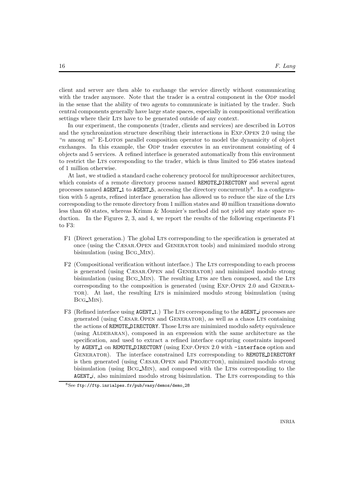client and server are then able to exchange the service directly without communicating with the trader anymore. Note that the trader is a central component in the ODP model in the sense that the ability of two agents to communicate is initiated by the trader. Such central components generally have large state spaces, especially in compositional verification settings where their LTS have to be generated outside of any context.

In our experiment, the components (trader, clients and services) are described in Lotos and the synchronization structure describing their interactions in Exp.Open 2.0 using the "n among m" E-LOTOS parallel composition operator to model the dynamicity of object exchanges. In this example, the ODP trader executes in an environment consisting of 4 objects and 5 services. A refined interface is generated automatically from this environment to restrict the Lts corresponding to the trader, which is thus limited to 256 states instead of 1 million otherwise.

At last, we studied a standard cache coherency protocol for multiprocessor architectures, which consists of a remote directory process named REMOTE DIRECTORY and several agent processes named  $AGENT_1$  to  $AGENT_5$ , accessing the directory concurrently<sup>8</sup>. In a configuration with 5 agents, refined interface generation has allowed us to reduce the size of the Lts corresponding to the remote directory from 1 million states and 40 million transitions downto less than 60 states, whereas Krimm & Mounier's method did not yield any state space reduction. In the Figures 2, 3, and 4, we report the results of the following experiments F1 to F3:

- F1 (Direct generation.) The global Lts corresponding to the specification is generated at once (using the Cæsar.Open and Generator tools) and minimized modulo strong bisimulation (using Bcg Min).
- F2 (Compositional verification without interface.) The Lts corresponding to each process is generated (using Cæsar.Open and Generator) and minimized modulo strong bisimulation (using  $BCG-MIN)$ . The resulting LTSs are then composed, and the LTS corresponding to the composition is generated (using Exp.Open 2.0 and Generator). At last, the resulting Lts is minimized modulo strong bisimulation (using Bcg Min).
- F3 (Refined interface using AGENT<sub>1</sub>.) The LTS corresponding to the AGENT<sub>1</sub> processes are generated (using Cæsar.Open and Generator), as well as a chaos Lts containing the actions of REMOTE DIRECTORY. Those LTSs are minimized modulo safety equivalence (using Aldebaran), composed in an expression with the same architecture as the specification, and used to extract a refined interface capturing constraints imposed by AGENT<sub>1</sub> on REMOTE DIRECTORY (using EXP. OPEN 2.0 with -interface option and GENERATOR). The interface constrained LTS corresponding to REMOTE\_DIRECTORY is then generated (using CÆSAR.OPEN and PROJECTOR), minimized modulo strong bisimulation (using BCG\_MIN), and composed with the LTSs corresponding to the  $AGENT_i$ , also minimized modulo strong bisimulation. The LTS corresponding to this

<sup>8</sup>See ftp://ftp.inrialpes.fr/pub/vasy/demos/demo 28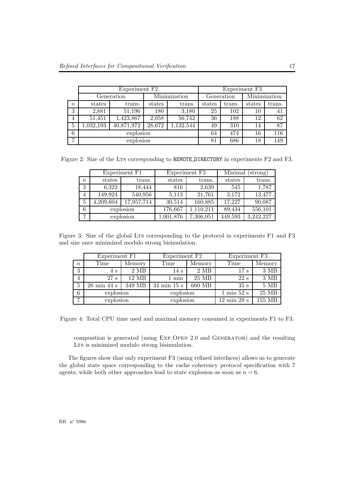|                  |           | Experiment F2 |        | Experiment F3 |            |        |              |        |  |
|------------------|-----------|---------------|--------|---------------|------------|--------|--------------|--------|--|
|                  |           | Generation    |        | Minimization  | Generation |        | Minimization |        |  |
| $\boldsymbol{n}$ | states    | trans.        | states | trans.        | states     | trans. | states       | trans. |  |
| 3                | 2,881     | 51,196        | 180    | 3,180         | 25         | 102    | 10           | 41     |  |
| 4                | 51,451    | 1,423,867     | 2,058  | 56,742        | 36         | 188    | 12           | 62     |  |
| 5                | 1,032,193 | 40,871,972    | 28,672 | 1,132,544     | 49         | 310    | 14           | 87     |  |
| 6                |           | explosion     |        | 64            | 474        | 16     | 116          |        |  |
| $\overline{ }$   |           | 81            | 686    | 18            | 149        |        |              |        |  |

Figure 2: Size of the LTS corresponding to REMOTE DIRECTORY in experiments F2 and F3.

|                |                 | Experiment F1 |           | Experiment F3 | Minimal<br>(strong) |           |  |
|----------------|-----------------|---------------|-----------|---------------|---------------------|-----------|--|
| $\eta$         | states          | trans.        | states    | trans.        | states              | trans.    |  |
| 3              | 6,322<br>18.444 |               | 816       | 2,639         | 545                 | 1,787     |  |
| $\overline{4}$ | 149,924         | 540,956       | 5,113     | 21,761        | 3,172               | 13,477    |  |
| 5              | 4,209,604       | 17,957,714    | 30,514    | 160,885       | 17.227              | 90,087    |  |
| 6              |                 | explosion     | 176,667   | 1,110,211     | 89,434              | 556,101   |  |
| $\overline{ }$ |                 | explosion     | 1,001,876 | 7,306,051     | 449,593             | 3,242,227 |  |

Figure 3: Size of the global Lts corresponding to the protocol in experiments F1 and F3 and size once minimized modulo strong bisimulation.

|                  | Experiment F1                  |        | Experiment F <sub>2</sub>      |        | Experiment F3                  |                  |  |
|------------------|--------------------------------|--------|--------------------------------|--------|--------------------------------|------------------|--|
| $\boldsymbol{n}$ | Time<br>Memory                 |        | Time                           | Memory | Time                           | Memory           |  |
| 3                | $2 \text{ MB}$<br>4 s          |        | $2\text{ MB}$<br>14 s          |        | 17s                            | 3 MB             |  |
| $\overline{4}$   | 27 s                           | 12 MB  | $1 \text{ min}$                | 25 MB  | 22 s                           | $3\ \text{MB}$   |  |
| 5                | $26 \text{ min } 44 \text{ s}$ | 349 MB | $34 \text{ min } 15 \text{ s}$ | 660 MB | 35 s                           | $5\ \mathrm{MB}$ |  |
| 6                | explosion                      |        | explosion                      |        | $1 \text{ min } 52 \text{ s}$  | $25$ MB          |  |
| $\overline{ }$   | explosion                      |        | explosion                      |        | $12 \text{ min } 29 \text{ s}$ | 155 MB           |  |

Figure 4: Total CPU time used and maximal memory consumed in experiments F1 to F3.

composition is generated (using Exp.Open 2.0 and Generator) and the resulting LTS is minimized modulo strong bisimulation.

The figures show that only experiment F3 (using refined interfaces) allows us to generate the global state space corresponding to the cache coherency protocol specification with 7 agents, while both other approaches lead to state explosion as soon as  $n = 6$ .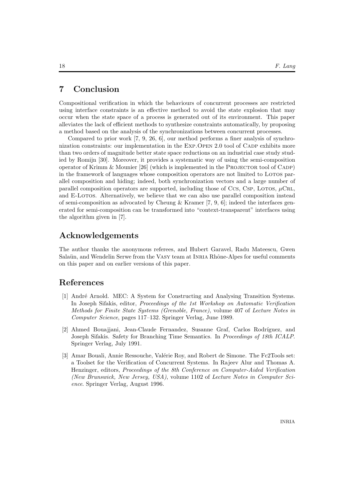# 7 Conclusion

Compositional verification in which the behaviours of concurrent processes are restricted using interface constraints is an effective method to avoid the state explosion that may occur when the state space of a process is generated out of its environment. This paper alleviates the lack of efficient methods to synthesize constraints automatically, by proposing a method based on the analysis of the synchronizations between concurrent processes.

Compared to prior work [7, 9, 26, 6], our method performs a finer analysis of synchronization constraints: our implementation in the Exp.Open 2.0 tool of Cadp exhibits more than two orders of magnitude better state space reductions on an industrial case study studied by Romijn [30]. Moreover, it provides a systematic way of using the semi-composition operator of Krimm  $\&$  Mounier [26] (which is implemented in the PROJECTOR tool of CADP) in the framework of languages whose composition operators are not limited to LOTOS parallel composition and hiding; indeed, both synchronization vectors and a large number of parallel composition operators are supported, including those of Ccs, Csp, LOTOS,  $\mu$ CRL, and E-Loros. Alternatively, we believe that we can also use parallel composition instead of semi-composition as advocated by Cheung & Kramer  $[7, 9, 6]$ ; indeed the interfaces generated for semi-composition can be transformed into "context-transparent" interfaces using the algorithm given in [7].

## Acknowledgements

The author thanks the anonymous referees, and Hubert Garavel, Radu Mateescu, Gwen Salaün, and Wendelin Serwe from the VASY team at INRIA Rhône-Alpes for useful comments on this paper and on earlier versions of this paper.

#### References

- [1] Andr´e Arnold. MEC: A System for Constructing and Analysing Transition Systems. In Joseph Sifakis, editor, Proceedings of the 1st Workshop on Automatic Verification Methods for Finite State Systems (Grenoble, France), volume 407 of Lecture Notes in Computer Science, pages 117–132. Springer Verlag, June 1989.
- [2] Ahmed Bouajjani, Jean-Claude Fernandez, Susanne Graf, Carlos Rodríguez, and Joseph Sifakis. Safety for Branching Time Semantics. In Proceedings of 18th ICALP. Springer Verlag, July 1991.
- [3] Amar Bouali, Annie Ressouche, Valérie Roy, and Robert de Simone. The Fc2Tools set: a Toolset for the Verification of Concurrent Systems. In Rajeev Alur and Thomas A. Henzinger, editors, Proceedings of the 8th Conference on Computer-Aided Verification (New Brunswick, New Jersey, USA), volume 1102 of Lecture Notes in Computer Science. Springer Verlag, August 1996.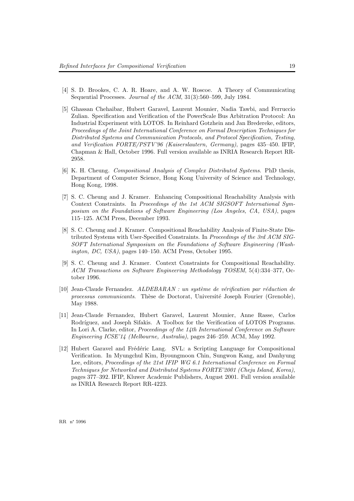- [4] S. D. Brookes, C. A. R. Hoare, and A. W. Roscoe. A Theory of Communicating Sequential Processes. *Journal of the ACM*, 31(3):560–599, July 1984.
- [5] Ghassan Chehaibar, Hubert Garavel, Laurent Mounier, Nadia Tawbi, and Ferruccio Zulian. Specification and Verification of the PowerScale Bus Arbitration Protocol: An Industrial Experiment with LOTOS. In Reinhard Gotzhein and Jan Bredereke, editors, Proceedings of the Joint International Conference on Formal Description Techniques for Distributed Systems and Communication Protocols, and Protocol Specification, Testing, and Verification FORTE/PSTV'96 (Kaiserslautern, Germany), pages 435–450. IFIP, Chapman & Hall, October 1996. Full version available as INRIA Research Report RR-2958.
- [6] K. H. Cheung. Compositional Analysis of Complex Distributed Systems. PhD thesis, Department of Computer Science, Hong Kong University of Science and Technology, Hong Kong, 1998.
- [7] S. C. Cheung and J. Kramer. Enhancing Compositional Reachability Analysis with Context Constraints. In Proceedings of the 1st ACM SIGSOFT International Symposium on the Foundations of Software Engineering (Los Angeles, CA, USA), pages 115–125. ACM Press, December 1993.
- [8] S. C. Cheung and J. Kramer. Compositional Reachability Analysis of Finite-State Distributed Systems with User-Specified Constraints. In Proceedings of the 3rd ACM SIG-SOFT International Symposium on the Foundations of Software Engineering (Washington, DC, USA), pages 140–150. ACM Press, October 1995.
- [9] S. C. Cheung and J. Kramer. Context Constraints for Compositional Reachability. ACM Transactions on Software Engineering Methodology TOSEM, 5(4):334–377, October 1996.
- [10] Jean-Claude Fernandez.  $ALDEBARAN$ : un système de vérification par réduction de processus communicants. Thèse de Doctorat, Université Joseph Fourier (Grenoble), May 1988.
- [11] Jean-Claude Fernandez, Hubert Garavel, Laurent Mounier, Anne Rasse, Carlos Rodríguez, and Joseph Sifakis. A Toolbox for the Verification of LOTOS Programs. In Lori A. Clarke, editor, *Proceedings of the 14th International Conference on Software* Engineering ICSE'14 (Melbourne, Australia), pages 246–259. ACM, May 1992.
- [12] Hubert Garavel and Frédéric Lang. SVL: a Scripting Language for Compositional Verification. In Myungchul Kim, Byoungmoon Chin, Sungwon Kang, and Danhyung Lee, editors, Proceedings of the 21st IFIP WG 6.1 International Conference on Formal Techniques for Networked and Distributed Systems FORTE'2001 (Cheju Island, Korea), pages 377–392. IFIP, Kluwer Academic Publishers, August 2001. Full version available as INRIA Research Report RR-4223.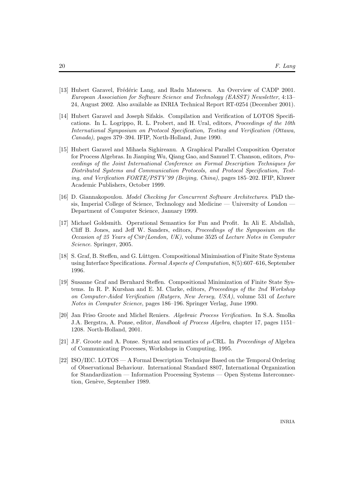- [13] Hubert Garavel, Frédéric Lang, and Radu Mateescu. An Overview of CADP 2001. European Association for Software Science and Technology (EASST) Newsletter, 4:13– 24, August 2002. Also available as INRIA Technical Report RT-0254 (December 2001).
- [14] Hubert Garavel and Joseph Sifakis. Compilation and Verification of LOTOS Specifications. In L. Logrippo, R. L. Probert, and H. Ural, editors, Proceedings of the 10th International Symposium on Protocol Specification, Testing and Verification (Ottawa, Canada), pages 379–394. IFIP, North-Holland, June 1990.
- [15] Hubert Garavel and Mihaela Sighireanu. A Graphical Parallel Composition Operator for Process Algebras. In Jianping Wu, Qiang Gao, and Samuel T. Chanson, editors, Proceedings of the Joint International Conference on Formal Description Techniques for Distributed Systems and Communication Protocols, and Protocol Specification, Testing, and Verification FORTE/PSTV'99 (Beijing, China), pages 185–202. IFIP, Kluwer Academic Publishers, October 1999.
- [16] D. Giannakopoulou. Model Checking for Concurrent Software Architectures. PhD thesis, Imperial College of Science, Technology and Medicine — University of London — Department of Computer Science, January 1999.
- [17] Michael Goldsmith. Operational Semantics for Fun and Profit. In Ali E. Abdallah, Cliff B. Jones, and Jeff W. Sanders, editors, Proceedings of the Symposium on the Occasion of 25 Years of Csp(London, UK), volume 3525 of Lecture Notes in Computer Science. Springer, 2005.
- [18] S. Graf, B. Steffen, and G. Lüttgen. Compositional Minimisation of Finite State Systems using Interface Specifications. Formal Aspects of Computation, 8(5):607–616, September 1996.
- [19] Susanne Graf and Bernhard Steffen. Compositional Minimization of Finite State Systems. In R. P. Kurshan and E. M. Clarke, editors, Proceedings of the 2nd Workshop on Computer-Aided Verification (Rutgers, New Jersey, USA), volume 531 of Lecture Notes in Computer Science, pages 186–196. Springer Verlag, June 1990.
- [20] Jan Friso Groote and Michel Reniers. Algebraic Process Verification. In S.A. Smolka J.A. Bergstra, A. Ponse, editor, Handbook of Process Algebra, chapter 17, pages 1151– 1208. North-Holland, 2001.
- [21] J.F. Groote and A. Ponse. Syntax and semantics of  $\mu$ -CRL. In *Proceedings of* Algebra of Communicating Processes, Workshops in Computing, 1995.
- [22] ISO/IEC. LOTOS A Formal Description Technique Based on the Temporal Ordering of Observational Behaviour. International Standard 8807, International Organization for Standardization — Information Processing Systems — Open Systems Interconnection, Genève, September 1989.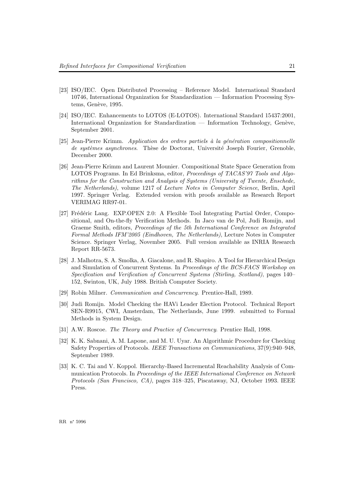- [23] ISO/IEC. Open Distributed Processing Reference Model. International Standard 10746, International Organization for Standardization — Information Processing Systems, Genève, 1995.
- [24] ISO/IEC. Enhancements to LOTOS (E-LOTOS). International Standard 15437:2001, International Organization for Standardization — Information Technology, Genève, September 2001.
- [25] Jean-Pierre Krimm. Application des ordres partiels à la génération compositionnelle de systèmes asynchrones. Thèse de Doctorat, Université Joseph Fourier, Grenoble, December 2000.
- [26] Jean-Pierre Krimm and Laurent Mounier. Compositional State Space Generation from LOTOS Programs. In Ed Brinksma, editor, Proceedings of TACAS'97 Tools and Algorithms for the Construction and Analysis of Systems (University of Twente, Enschede, The Netherlands), volume 1217 of Lecture Notes in Computer Science, Berlin, April 1997. Springer Verlag. Extended version with proofs available as Research Report VERIMAG RR97-01.
- [27] Frédéric Lang. EXP.OPEN 2.0: A Flexible Tool Integrating Partial Order, Compositional, and On-the-fly Verification Methods. In Jaco van de Pol, Judi Romijn, and Graeme Smith, editors, Proceedings of the 5th International Conference on Integrated Formal Methods IFM'2005 (Eindhoven, The Netherlands), Lecture Notes in Computer Science. Springer Verlag, November 2005. Full version available as INRIA Research Report RR-5673.
- [28] J. Malhotra, S. A. Smolka, A. Giacalone, and R. Shapiro. A Tool for Hierarchical Design and Simulation of Concurrent Systems. In Proceedings of the BCS-FACS Workshop on Specification and Verification of Concurrent Systems (Stirling, Scotland), pages 140– 152, Swinton, UK, July 1988. British Computer Society.
- [29] Robin Milner. Communication and Concurrency. Prentice-Hall, 1989.
- [30] Judi Romijn. Model Checking the HAVi Leader Election Protocol. Technical Report SEN-R9915, CWI, Amsterdam, The Netherlands, June 1999. submitted to Formal Methods in System Design.
- [31] A.W. Roscoe. The Theory and Practice of Concurrency. Prentice Hall, 1998.
- [32] K. K. Sabnani, A. M. Lapone, and M. U. Uyar. An Algorithmic Procedure for Checking Safety Properties of Protocols. IEEE Transactions on Communications, 37(9):940–948, September 1989.
- [33] K. C. Tai and V. Koppol. Hierarchy-Based Incremental Reachability Analysis of Communication Protocols. In Proceedings of the IEEE International Conference on Network Protocols (San Francisco, CA), pages 318–325, Piscataway, NJ, October 1993. IEEE Press.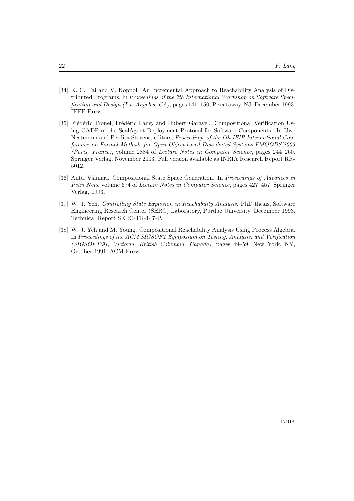- [34] K. C. Tai and V. Koppol. An Incremental Approach to Reachability Analysis of Distributed Programs. In Proceedings of the 7th International Workshop on Software Specification and Design (Los Angeles, CA), pages 141–150, Piscataway, NJ, December 1993. IEEE Press.
- [35] Frédéric Tronel, Frédéric Lang, and Hubert Garavel. Compositional Verification Using CADP of the ScalAgent Deployment Protocol for Software Components. In Uwe Nestmann and Perdita Stevens, editors, Proceedings of the 6th IFIP International Conference on Formal Methods for Open Object-based Distributed Systems FMOODS'2003 (Paris, France), volume 2884 of Lecture Notes in Computer Science, pages 244–260. Springer Verlag, November 2003. Full version available as INRIA Research Report RR-5012.
- [36] Antti Valmari. Compositional State Space Generation. In Proceedings of Advances in Petri Nets, volume 674 of Lecture Notes in Computer Science, pages 427–457. Springer Verlag, 1993.
- [37] W. J. Yeh. Controlling State Explosion in Reachability Analysis. PhD thesis, Software Engineering Research Center (SERC) Laboratory, Purdue University, December 1993. Technical Report SERC-TR-147-P.
- [38] W. J. Yeh and M. Young. Compositional Reachability Analysis Using Process Algebra. In Proceedings of the ACM SIGSOFT Symposium on Testing, Analysis, and Verification (SIGSOFT'91, Victoria, British Columbia, Canada), pages 49–59, New York, NY, October 1991. ACM Press.